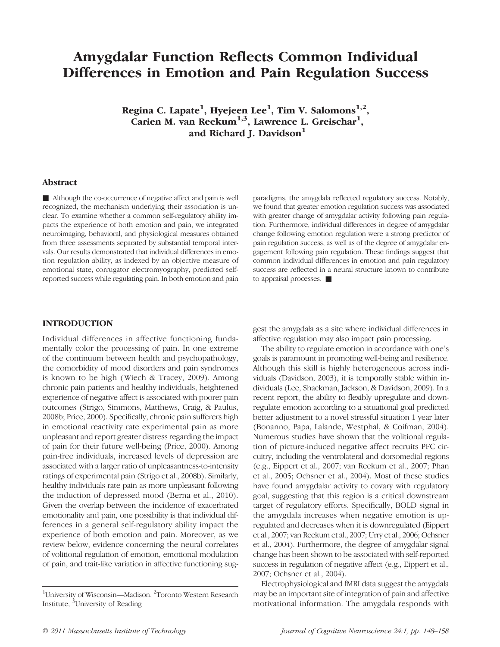# Amygdalar Function Reflects Common Individual Differences in Emotion and Pain Regulation Success

Regina C. Lapate<sup>1</sup>, Hyejeen Lee<sup>1</sup>, Tim V. Salomons<sup>1,2</sup>, Carien M. van Reekum<sup>1,3</sup>, Lawrence L. Greischar<sup>1</sup>, and Richard J. Davidson<sup>1</sup>

#### Abstract

■ Although the co-occurrence of negative affect and pain is well recognized, the mechanism underlying their association is unclear. To examine whether a common self-regulatory ability impacts the experience of both emotion and pain, we integrated neuroimaging, behavioral, and physiological measures obtained from three assessments separated by substantial temporal intervals. Our results demonstrated that individual differences in emotion regulation ability, as indexed by an objective measure of emotional state, corrugator electromyography, predicted selfreported success while regulating pain. In both emotion and pain paradigms, the amygdala reflected regulatory success. Notably, we found that greater emotion regulation success was associated with greater change of amygdalar activity following pain regulation. Furthermore, individual differences in degree of amygdalar change following emotion regulation were a strong predictor of pain regulation success, as well as of the degree of amygdalar engagement following pain regulation. These findings suggest that common individual differences in emotion and pain regulatory success are reflected in a neural structure known to contribute to appraisal processes. ■

## INTRODUCTION

Individual differences in affective functioning fundamentally color the processing of pain. In one extreme of the continuum between health and psychopathology, the comorbidity of mood disorders and pain syndromes is known to be high (Wiech & Tracey, 2009). Among chronic pain patients and healthy individuals, heightened experience of negative affect is associated with poorer pain outcomes (Strigo, Simmons, Matthews, Craig, & Paulus, 2008b; Price, 2000). Specifically, chronic pain sufferers high in emotional reactivity rate experimental pain as more unpleasant and report greater distress regarding the impact of pain for their future well-being (Price, 2000). Among pain-free individuals, increased levels of depression are associated with a larger ratio of unpleasantness-to-intensity ratings of experimental pain (Strigo et al., 2008b). Similarly, healthy individuals rate pain as more unpleasant following the induction of depressed mood (Berna et al., 2010). Given the overlap between the incidence of exacerbated emotionality and pain, one possibility is that individual differences in a general self-regulatory ability impact the experience of both emotion and pain. Moreover, as we review below, evidence concerning the neural correlates of volitional regulation of emotion, emotional modulation of pain, and trait-like variation in affective functioning suggest the amygdala as a site where individual differences in affective regulation may also impact pain processing.

The ability to regulate emotion in accordance with one's goals is paramount in promoting well-being and resilience. Although this skill is highly heterogeneous across individuals (Davidson, 2003), it is temporally stable within individuals (Lee, Shackman, Jackson, & Davidson, 2009). In a recent report, the ability to flexibly upregulate and downregulate emotion according to a situational goal predicted better adjustment to a novel stressful situation 1 year later (Bonanno, Papa, Lalande, Westphal, & Coifman, 2004). Numerous studies have shown that the volitional regulation of picture-induced negative affect recruits PFC circuitry, including the ventrolateral and dorsomedial regions (e.g., Eippert et al., 2007; van Reekum et al., 2007; Phan et al., 2005; Ochsner et al., 2004). Most of these studies have found amygdalar activity to covary with regulatory goal, suggesting that this region is a critical downstream target of regulatory efforts. Specifically, BOLD signal in the amygdala increases when negative emotion is upregulated and decreases when it is downregulated (Eippert et al., 2007; van Reekum et al., 2007; Urry et al., 2006; Ochsner et al., 2004). Furthermore, the degree of amygdalar signal change has been shown to be associated with self-reported success in regulation of negative affect (e.g., Eippert et al., 2007; Ochsner et al., 2004).

Electrophysiological and fMRI data suggest the amygdala may be an important site of integration of pain and affective motivational information. The amygdala responds with

<sup>&</sup>lt;sup>1</sup>University of Wisconsin—Madison, <sup>2</sup>Toronto Western Research Institute, <sup>3</sup>University of Reading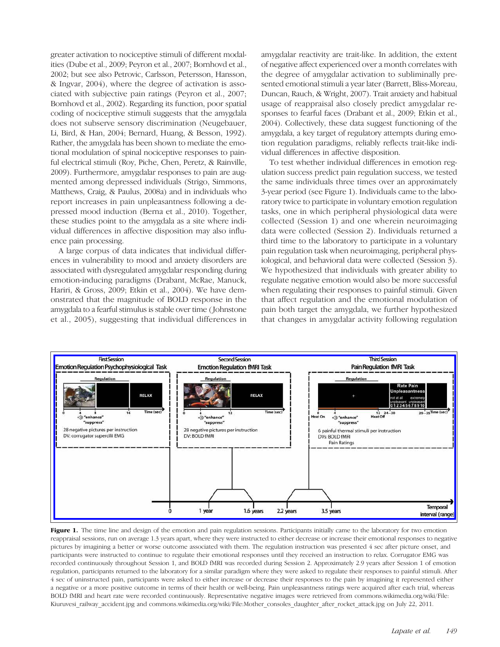greater activation to nociceptive stimuli of different modalities (Dube et al., 2009; Peyron et al., 2007; Bornhovd et al., 2002; but see also Petrovic, Carlsson, Petersson, Hansson, & Ingvar, 2004), where the degree of activation is associated with subjective pain ratings (Peyron et al., 2007; Bornhovd et al., 2002). Regarding its function, poor spatial coding of nociceptive stimuli suggests that the amygdala does not subserve sensory discrimination (Neugebauer, Li, Bird, & Han, 2004; Bernard, Huang, & Besson, 1992). Rather, the amygdala has been shown to mediate the emotional modulation of spinal nociceptive responses to painful electrical stimuli (Roy, Piche, Chen, Peretz, & Rainville, 2009). Furthermore, amygdalar responses to pain are augmented among depressed individuals (Strigo, Simmons, Matthews, Craig, & Paulus, 2008a) and in individuals who report increases in pain unpleasantness following a depressed mood induction (Berna et al., 2010). Together, these studies point to the amygdala as a site where individual differences in affective disposition may also influence pain processing.

A large corpus of data indicates that individual differences in vulnerability to mood and anxiety disorders are associated with dysregulated amygdalar responding during emotion-inducing paradigms (Drabant, McRae, Manuck, Hariri, & Gross, 2009; Etkin et al., 2004). We have demonstrated that the magnitude of BOLD response in the amygdala to a fearful stimulus is stable over time ( Johnstone et al., 2005), suggesting that individual differences in

amygdalar reactivity are trait-like. In addition, the extent of negative affect experienced over a month correlates with the degree of amygdalar activation to subliminally presented emotional stimuli a year later (Barrett, Bliss-Moreau, Duncan, Rauch, & Wright, 2007). Trait anxiety and habitual usage of reappraisal also closely predict amygdalar responses to fearful faces (Drabant et al., 2009; Etkin et al., 2004). Collectively, these data suggest functioning of the amygdala, a key target of regulatory attempts during emotion regulation paradigms, reliably reflects trait-like individual differences in affective disposition.

To test whether individual differences in emotion regulation success predict pain regulation success, we tested the same individuals three times over an approximately 3-year period (see Figure 1). Individuals came to the laboratory twice to participate in voluntary emotion regulation tasks, one in which peripheral physiological data were collected (Session 1) and one wherein neuroimaging data were collected (Session 2). Individuals returned a third time to the laboratory to participate in a voluntary pain regulation task when neuroimaging, peripheral physiological, and behavioral data were collected (Session 3). We hypothesized that individuals with greater ability to regulate negative emotion would also be more successful when regulating their responses to painful stimuli. Given that affect regulation and the emotional modulation of pain both target the amygdala, we further hypothesized that changes in amygdalar activity following regulation



Figure 1. The time line and design of the emotion and pain regulation sessions. Participants initially came to the laboratory for two emotion reappraisal sessions, run on average 1.3 years apart, where they were instructed to either decrease or increase their emotional responses to negative pictures by imagining a better or worse outcome associated with them. The regulation instruction was presented 4 sec after picture onset, and participants were instructed to continue to regulate their emotional responses until they received an instruction to relax. Corrugator EMG was recorded continuously throughout Session 1, and BOLD fMRI was recorded during Session 2. Approximately 2.9 years after Session 1 of emotion regulation, participants returned to the laboratory for a similar paradigm where they were asked to regulate their responses to painful stimuli. After 4 sec of uninstructed pain, participants were asked to either increase or decrease their responses to the pain by imagining it represented either a negative or a more positive outcome in terms of their health or well-being. Pain unpleasantness ratings were acquired after each trial, whereas BOLD fMRI and heart rate were recorded continuously. Representative negative images were retrieved from commons.wikimedia.org/wiki/File: Kiuruvesi railway accident.jpg and commons.wikimedia.org/wiki/File:Mother\_consoles\_daughter\_after\_rocket\_attack.jpg on July 22, 2011.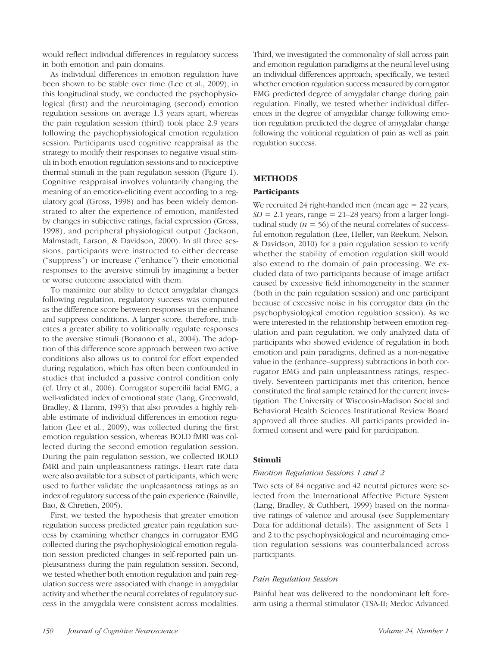would reflect individual differences in regulatory success in both emotion and pain domains.

As individual differences in emotion regulation have been shown to be stable over time (Lee et al., 2009), in this longitudinal study, we conducted the psychophysiological (first) and the neuroimaging (second) emotion regulation sessions on average 1.3 years apart, whereas the pain regulation session (third) took place 2.9 years following the psychophysiological emotion regulation session. Participants used cognitive reappraisal as the strategy to modify their responses to negative visual stimuli in both emotion regulation sessions and to nociceptive thermal stimuli in the pain regulation session (Figure 1). Cognitive reappraisal involves voluntarily changing the meaning of an emotion-eliciting event according to a regulatory goal (Gross, 1998) and has been widely demonstrated to alter the experience of emotion, manifested by changes in subjective ratings, facial expression (Gross, 1998), and peripheral physiological output ( Jackson, Malmstadt, Larson, & Davidson, 2000). In all three sessions, participants were instructed to either decrease ("suppress") or increase ("enhance") their emotional responses to the aversive stimuli by imagining a better or worse outcome associated with them.

To maximize our ability to detect amygdalar changes following regulation, regulatory success was computed as the difference score between responses in the enhance and suppress conditions. A larger score, therefore, indicates a greater ability to volitionally regulate responses to the aversive stimuli (Bonanno et al., 2004). The adoption of this difference score approach between two active conditions also allows us to control for effort expended during regulation, which has often been confounded in studies that included a passive control condition only (cf. Urry et al., 2006). Corrugator supercilii facial EMG, a well-validated index of emotional state (Lang, Greenwald, Bradley, & Hamm, 1993) that also provides a highly reliable estimate of individual differences in emotion regulation (Lee et al., 2009), was collected during the first emotion regulation session, whereas BOLD fMRI was collected during the second emotion regulation session. During the pain regulation session, we collected BOLD fMRI and pain unpleasantness ratings. Heart rate data were also available for a subset of participants, which were used to further validate the unpleasantness ratings as an index of regulatory success of the pain experience (Rainville, Bao, & Chretien, 2005).

First, we tested the hypothesis that greater emotion regulation success predicted greater pain regulation success by examining whether changes in corrugator EMG collected during the psychophysiological emotion regulation session predicted changes in self-reported pain unpleasantness during the pain regulation session. Second, we tested whether both emotion regulation and pain regulation success were associated with change in amygdalar activity and whether the neural correlates of regulatory success in the amygdala were consistent across modalities.

Third, we investigated the commonality of skill across pain and emotion regulation paradigms at the neural level using an individual differences approach; specifically, we tested whether emotion regulation success measured by corrugator EMG predicted degree of amygdalar change during pain regulation. Finally, we tested whether individual differences in the degree of amygdalar change following emotion regulation predicted the degree of amygdalar change following the volitional regulation of pain as well as pain regulation success.

## METHODS

#### **Participants**

We recruited 24 right-handed men (mean age = 22 years,  $SD = 2.1$  years, range = 21–28 years) from a larger longitudinal study ( $n = 56$ ) of the neural correlates of successful emotion regulation (Lee, Heller, van Reekum, Nelson, & Davidson, 2010) for a pain regulation session to verify whether the stability of emotion regulation skill would also extend to the domain of pain processing. We excluded data of two participants because of image artifact caused by excessive field inhomogeneity in the scanner (both in the pain regulation session) and one participant because of excessive noise in his corrugator data (in the psychophysiological emotion regulation session). As we were interested in the relationship between emotion regulation and pain regulation, we only analyzed data of participants who showed evidence of regulation in both emotion and pain paradigms, defined as a non-negative value in the (enhance–suppress) subtractions in both corrugator EMG and pain unpleasantness ratings, respectively. Seventeen participants met this criterion, hence constituted the final sample retained for the current investigation. The University of Wisconsin-Madison Social and Behavioral Health Sciences Institutional Review Board approved all three studies. All participants provided informed consent and were paid for participation.

#### Stimuli

#### Emotion Regulation Sessions 1 and 2

Two sets of 84 negative and 42 neutral pictures were selected from the International Affective Picture System (Lang, Bradley, & Cuthbert, 1999) based on the normative ratings of valence and arousal (see Supplementary Data for additional details). The assignment of Sets 1 and 2 to the psychophysiological and neuroimaging emotion regulation sessions was counterbalanced across participants.

#### Pain Regulation Session

Painful heat was delivered to the nondominant left forearm using a thermal stimulator (TSA-II; Medoc Advanced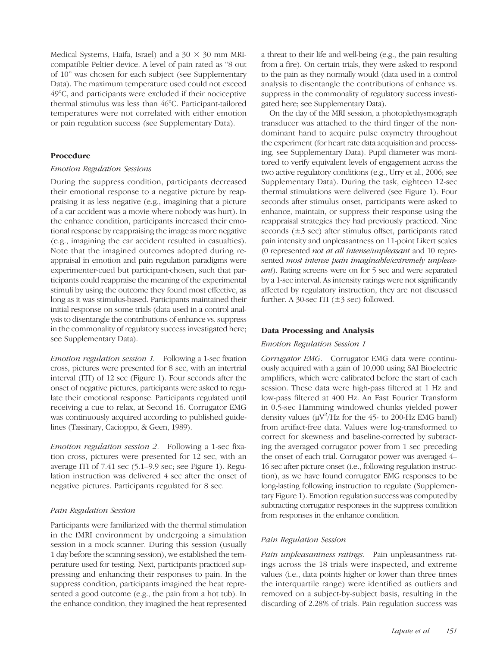Medical Systems, Haifa, Israel) and a  $30 \times 30$  mm MRIcompatible Peltier device. A level of pain rated as "8 out of 10" was chosen for each subject (see Supplementary Data). The maximum temperature used could not exceed 49°C, and participants were excluded if their nociceptive thermal stimulus was less than 46°C. Participant-tailored temperatures were not correlated with either emotion or pain regulation success (see Supplementary Data).

#### Procedure

## Emotion Regulation Sessions

During the suppress condition, participants decreased their emotional response to a negative picture by reappraising it as less negative (e.g., imagining that a picture of a car accident was a movie where nobody was hurt). In the enhance condition, participants increased their emotional response by reappraising the image as more negative (e.g., imagining the car accident resulted in casualties). Note that the imagined outcomes adopted during reappraisal in emotion and pain regulation paradigms were experimenter-cued but participant-chosen, such that participants could reappraise the meaning of the experimental stimuli by using the outcome they found most effective, as long as it was stimulus-based. Participants maintained their initial response on some trials (data used in a control analysis to disentangle the contributions of enhance vs. suppress in the commonality of regulatory success investigated here; see Supplementary Data).

Emotion regulation session 1. Following a 1-sec fixation cross, pictures were presented for 8 sec, with an intertrial interval (ITI) of 12 sec (Figure 1). Four seconds after the onset of negative pictures, participants were asked to regulate their emotional response. Participants regulated until receiving a cue to relax, at Second 16. Corrugator EMG was continuously acquired according to published guidelines (Tassinary, Cacioppo, & Geen, 1989).

Emotion regulation session 2. Following a 1-sec fixation cross, pictures were presented for 12 sec, with an average ITI of 7.41 sec (5.1–9.9 sec; see Figure 1). Regulation instruction was delivered 4 sec after the onset of negative pictures. Participants regulated for 8 sec.

## Pain Regulation Session

Participants were familiarized with the thermal stimulation in the fMRI environment by undergoing a simulation session in a mock scanner. During this session (usually 1 day before the scanning session), we established the temperature used for testing. Next, participants practiced suppressing and enhancing their responses to pain. In the suppress condition, participants imagined the heat represented a good outcome (e.g., the pain from a hot tub). In the enhance condition, they imagined the heat represented

a threat to their life and well-being (e.g., the pain resulting from a fire). On certain trials, they were asked to respond to the pain as they normally would (data used in a control analysis to disentangle the contributions of enhance vs. suppress in the commonality of regulatory success investigated here; see Supplementary Data).

On the day of the MRI session, a photoplethysmograph transducer was attached to the third finger of the nondominant hand to acquire pulse oxymetry throughout the experiment (for heart rate data acquisition and processing, see Supplementary Data). Pupil diameter was monitored to verify equivalent levels of engagement across the two active regulatory conditions (e.g., Urry et al., 2006; see Supplementary Data). During the task, eighteen 12-sec thermal stimulations were delivered (see Figure 1). Four seconds after stimulus onset, participants were asked to enhance, maintain, or suppress their response using the reappraisal strategies they had previously practiced. Nine seconds  $(\pm 3 \text{ sec})$  after stimulus offset, participants rated pain intensity and unpleasantness on 11-point Likert scales (0 represented not at all intense/unpleasant and 10 represented most intense pain imaginable/extremely unpleasant). Rating screens were on for 5 sec and were separated by a 1-sec interval. As intensity ratings were not significantly affected by regulatory instruction, they are not discussed further. A 30-sec ITI  $(\pm 3 \text{ sec})$  followed.

## Data Processing and Analysis

## Emotion Regulation Session 1

Corrugator EMG. Corrugator EMG data were continuously acquired with a gain of 10,000 using SAI Bioelectric amplifiers, which were calibrated before the start of each session. These data were high-pass filtered at 1 Hz and low-pass filtered at 400 Hz. An Fast Fourier Transform in 0.5-sec Hamming windowed chunks yielded power density values  $(\mu V^2/Hz$  for the 45- to 200-Hz EMG band) from artifact-free data. Values were log-transformed to correct for skewness and baseline-corrected by subtracting the averaged corrugator power from 1 sec preceding the onset of each trial. Corrugator power was averaged 4– 16 sec after picture onset (i.e., following regulation instruction), as we have found corrugator EMG responses to be long-lasting following instruction to regulate (Supplementary Figure 1). Emotion regulation success was computed by subtracting corrugator responses in the suppress condition from responses in the enhance condition.

## Pain Regulation Session

Pain unpleasantness ratings. Pain unpleasantness ratings across the 18 trials were inspected, and extreme values (i.e., data points higher or lower than three times the interquartile range) were identified as outliers and removed on a subject-by-subject basis, resulting in the discarding of 2.28% of trials. Pain regulation success was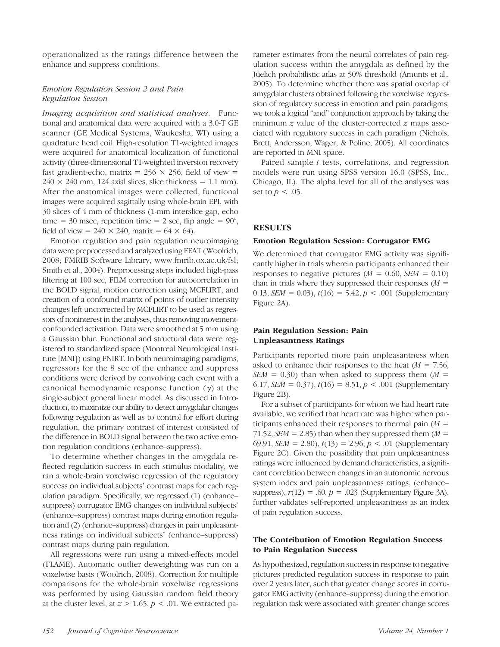operationalized as the ratings difference between the enhance and suppress conditions.

## Emotion Regulation Session 2 and Pain Regulation Session

Imaging acquisition and statistical analyses. Functional and anatomical data were acquired with a 3.0-T GE scanner (GE Medical Systems, Waukesha, WI) using a quadrature head coil. High-resolution T1-weighted images were acquired for anatomical localization of functional activity (three-dimensional T1-weighted inversion recovery fast gradient-echo, matrix =  $256 \times 256$ , field of view =  $240 \times 240$  mm, 124 axial slices, slice thickness = 1.1 mm). After the anatomical images were collected, functional images were acquired sagittally using whole-brain EPI, with 30 slices of 4 mm of thickness (1-mm interslice gap, echo time = 30 msec, repetition time = 2 sec, flip angle =  $90^{\circ}$ , field of view =  $240 \times 240$ , matrix =  $64 \times 64$ ).

Emotion regulation and pain regulation neuroimaging data were preprocessed and analyzed using FEAT (Woolrich, 2008; FMRIB Software Library, www.fmrib.ox.ac.uk/fsl; Smith et al., 2004). Preprocessing steps included high-pass filtering at 100 sec, FILM correction for autocorrelation in the BOLD signal, motion correction using MCFLIRT, and creation of a confound matrix of points of outlier intensity changes left uncorrected by MCFLIRT to be used as regressors of noninterest in the analyses, thus removing movementconfounded activation. Data were smoothed at 5 mm using a Gaussian blur. Functional and structural data were registered to standardized space (Montreal Neurological Institute [MNI]) using FNIRT. In both neuroimaging paradigms, regressors for the 8 sec of the enhance and suppress conditions were derived by convolving each event with a canonical hemodynamic response function  $(\gamma)$  at the single-subject general linear model. As discussed in Introduction, to maximize our ability to detect amygdalar changes following regulation as well as to control for effort during regulation, the primary contrast of interest consisted of the difference in BOLD signal between the two active emotion regulation conditions (enhance–suppress).

To determine whether changes in the amygdala reflected regulation success in each stimulus modality, we ran a whole-brain voxelwise regression of the regulatory success on individual subjects' contrast maps for each regulation paradigm. Specifically, we regressed (1) (enhance– suppress) corrugator EMG changes on individual subjects' (enhance–suppress) contrast maps during emotion regulation and (2) (enhance–suppress) changes in pain unpleasantness ratings on individual subjects' (enhance–suppress) contrast maps during pain regulation.

All regressions were run using a mixed-effects model (FLAME). Automatic outlier deweighting was run on a voxelwise basis (Woolrich, 2008). Correction for multiple comparisons for the whole-brain voxelwise regressions was performed by using Gaussian random field theory at the cluster level, at  $z > 1.65$ ,  $p < 0.01$ . We extracted pa-

rameter estimates from the neural correlates of pain regulation success within the amygdala as defined by the Jüelich probabilistic atlas at 50% threshold (Amunts et al., 2005). To determine whether there was spatial overlap of amygdalar clusters obtained following the voxelwise regression of regulatory success in emotion and pain paradigms, we took a logical "and" conjunction approach by taking the minimum  $z$  value of the cluster-corrected  $z$  maps associated with regulatory success in each paradigm (Nichols, Brett, Andersson, Wager, & Poline, 2005). All coordinates are reported in MNI space.

Paired sample  $t$  tests, correlations, and regression models were run using SPSS version 16.0 (SPSS, Inc., Chicago, IL). The alpha level for all of the analyses was set to  $p < .05$ .

## **RESULTS**

#### Emotion Regulation Session: Corrugator EMG

We determined that corrugator EMG activity was significantly higher in trials wherein participants enhanced their responses to negative pictures ( $M = 0.60$ ,  $SEM = 0.10$ ) than in trials where they suppressed their responses  $(M =$ 0.13,  $SEM = 0.03$ ,  $t(16) = 5.42$ ,  $p < .001$  (Supplementary Figure 2A).

## Pain Regulation Session: Pain Unpleasantness Ratings

Participants reported more pain unpleasantness when asked to enhance their responses to the heat  $(M = 7.56)$ ,  $SEM = 0.30$ ) than when asked to suppress them  $(M =$ 6.17, SEM = 0.37),  $t(16) = 8.51$ ,  $p < .001$  (Supplementary Figure 2B).

For a subset of participants for whom we had heart rate available, we verified that heart rate was higher when participants enhanced their responses to thermal pain  $(M =$ 71.52,  $SEM = 2.85$ ) than when they suppressed them  $(M =$ 69.91,  $SEM = 2.80$ ,  $t(13) = 2.96$ ,  $p < .01$  (Supplementary Figure 2C). Given the possibility that pain unpleasantness ratings were influenced by demand characteristics, a significant correlation between changes in an autonomic nervous system index and pain unpleasantness ratings, (enhance– suppress),  $r(12) = .60$ ,  $p = .023$  (Supplementary Figure 3A), further validates self-reported unpleasantness as an index of pain regulation success.

## The Contribution of Emotion Regulation Success to Pain Regulation Success

As hypothesized, regulation success in response to negative pictures predicted regulation success in response to pain over 2 years later, such that greater change scores in corrugator EMG activity (enhance–suppress) during the emotion regulation task were associated with greater change scores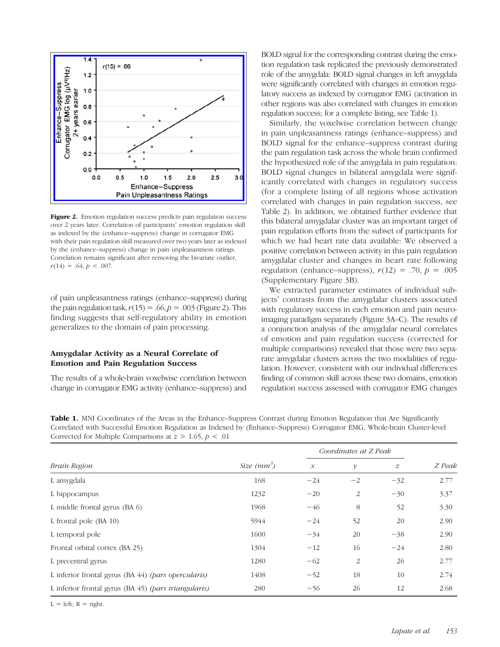

Figure 2. Emotion regulation success predicts pain regulation success over 2 years later. Correlation of participants' emotion regulation skill as indexed by the (enhance–suppress) change in corrugator EMG with their pain regulation skill measured over two years later as indexed by the (enhance–suppress) change in pain unpleasantness ratings. Correlation remains significant after removing the bivariate outlier,  $r(14) = .64, p < .007.$ 

of pain unpleasantness ratings (enhance–suppress) during the pain regulation task,  $r(15) = .66$ ,  $p = .003$  (Figure 2). This finding suggests that self-regulatory ability in emotion generalizes to the domain of pain processing.

#### Amygdalar Activity as a Neural Correlate of Emotion and Pain Regulation Success

The results of a whole-brain voxelwise correlation between change in corrugator EMG activity (enhance–suppress) and

BOLD signal for the corresponding contrast during the emotion regulation task replicated the previously demonstrated role of the amygdala: BOLD signal changes in left amygdala were significantly correlated with changes in emotion regulatory success as indexed by corrugator EMG (activation in other regions was also correlated with changes in emotion regulation success; for a complete listing, see Table 1).

Similarly, the voxelwise correlation between change in pain unpleasantness ratings (enhance–suppress) and BOLD signal for the enhance–suppress contrast during the pain regulation task across the whole brain confirmed the hypothesized role of the amygdala in pain regulation: BOLD signal changes in bilateral amygdala were significantly correlated with changes in regulatory success (for a complete listing of all regions whose activation correlated with changes in pain regulation success, see Table 2). In addition, we obtained further evidence that this bilateral amygdalar cluster was an important target of pain regulation efforts from the subset of participants for which we had heart rate data available: We observed a positive correlation between activity in this pain regulation amygdalar cluster and changes in heart rate following regulation (enhance–suppress),  $r(12) = .70$ ,  $p = .005$ (Supplementary Figure 3B).

We extracted parameter estimates of individual subjects' contrasts from the amygdalar clusters associated with regulatory success in each emotion and pain neuroimaging paradigm separately (Figure 3A–C). The results of a conjunction analysis of the amygdalar neural correlates of emotion and pain regulation success (corrected for multiple comparisons) revealed that those were two separate amygdalar clusters across the two modalities of regulation. However, consistent with our individual differences finding of common skill across these two domains, emotion regulation success assessed with corrugator EMG changes

| <b>Table 1.</b> MNI Coordinates of the Areas in the Enhance–Suppress Contrast during Emotion Regulation that Are Significantly |
|--------------------------------------------------------------------------------------------------------------------------------|
| Correlated with Successful Emotion Regulation as Indexed by (Enhance–Suppress) Corrugator EMG, Whole-brain Cluster-level       |
| Corrected for Multiple Comparisons at $z > 1.65$ , $p < .01$                                                                   |

| Brain Region                                         | Size $(mm^3)$ | Coordinates at Z Peak |                |                  |        |
|------------------------------------------------------|---------------|-----------------------|----------------|------------------|--------|
|                                                      |               | $\mathcal{X}$         | $\mathcal{Y}$  | $\boldsymbol{z}$ | Z Peak |
| L amygdala                                           | 168           | $-24$                 | $-2$           | $-32$            | 2.77   |
| L hippocampus                                        | 1232          | $-20$                 | 2              | $-30$            | 3.37   |
| L middle frontal gyrus $(BA 6)$                      | 1968          | $-46$                 | 8              | 52               | 3.30   |
| L frontal pole $(BA 10)$                             | 5944          | $-24$                 | 52             | 20               | 2.90   |
| L temporal pole                                      | 1600          | $-34$                 | 20             | $-38$            | 2.90   |
| Frontal orbital cortex (BA 25)                       | 1304          | $-12$                 | 16             | $-24$            | 2.80   |
| L precentral gyrus                                   | 1280          | $-62$                 | $\overline{2}$ | 26               | 2.77   |
| L inferior frontal gyrus (BA 44) (pars opercularis)  | 1408          | $-52$                 | 18             | 10               | 2.74   |
| L inferior frontal gyrus (BA 45) (pars triangularis) | 280           | $-56$                 | 26             | 12               | 2.68   |

 $L = left$ ;  $R = right$ .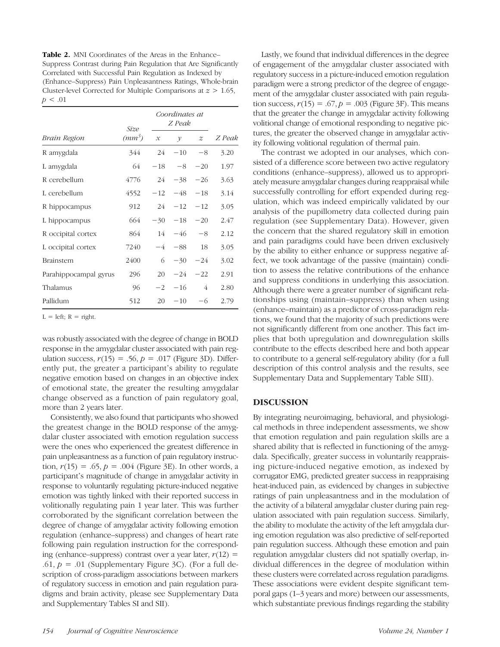Table 2. MNI Coordinates of the Areas in the Enhance-Suppress Contrast during Pain Regulation that Are Significantly Correlated with Successful Pain Regulation as Indexed by (Enhance–Suppress) Pain Unpleasantness Ratings, Whole-brain Cluster-level Corrected for Multiple Comparisons at  $z > 1.65$ ,  $p < .01$ 

|                       | Size     |               | Coordinates at<br>Z Peak |                  |         |
|-----------------------|----------|---------------|--------------------------|------------------|---------|
| Brain Region          | $(mm^3)$ | $\mathcal{X}$ | $\mathcal V$             | $\boldsymbol{z}$ | Z. Peak |
| R amygdala            | 344      | 24            | $-10$                    | $-8$             | 3.20    |
| L amygdala            | 64       | $-18$         | $-8$                     | $-20$            | 1.97    |
| R cerebellum          | 4776     | 24            | $-38$                    | $-26$            | 3.63    |
| L cerebellum          | 4552     | $-12$         | $-48$                    | $-18$            | 3.14    |
| R hippocampus         | 912      | 24            | $-12$                    | $-12$            | 3.05    |
| L hippocampus         | 664      | $-30$         | $-18$                    | $-20$            | 2.47    |
| R occipital cortex    | 864      | 14            | $-46$                    | $-8$             | 2.12    |
| L occipital cortex    | 7240     | $-4$          | $-88$                    | 18               | 3.05    |
| <b>Brainstem</b>      | 2400     | 6             | $-30$                    | $-24$            | 3.02    |
| Parahippocampal gyrus | 296      | 20            | $-24$                    | $-22$            | 2.91    |
| Thalamus              | 96       | $-2$          | $-16$                    | 4                | 2.80    |
| Pallidum              | 512      | 20            | $-10$                    | -6               | 2.79    |

 $L = left$ ;  $R = right$ .

was robustly associated with the degree of change in BOLD response in the amygdalar cluster associated with pain regulation success,  $r(15) = .56$ ,  $p = .017$  (Figure 3D). Differently put, the greater a participant's ability to regulate negative emotion based on changes in an objective index of emotional state, the greater the resulting amygdalar change observed as a function of pain regulatory goal, more than 2 years later.

Consistently, we also found that participants who showed the greatest change in the BOLD response of the amygdalar cluster associated with emotion regulation success were the ones who experienced the greatest difference in pain unpleasantness as a function of pain regulatory instruction,  $r(15) = .65$ ,  $p = .004$  (Figure 3E). In other words, a participant's magnitude of change in amygdalar activity in response to voluntarily regulating picture-induced negative emotion was tightly linked with their reported success in volitionally regulating pain 1 year later. This was further corroborated by the significant correlation between the degree of change of amygdalar activity following emotion regulation (enhance–suppress) and changes of heart rate following pain regulation instruction for the corresponding (enhance–suppress) contrast over a year later,  $r(12)$  = .61,  $p = .01$  (Supplementary Figure 3C). (For a full description of cross-paradigm associations between markers of regulatory success in emotion and pain regulation paradigms and brain activity, please see Supplementary Data and Supplementary Tables SI and SII).

Lastly, we found that individual differences in the degree of engagement of the amygdalar cluster associated with regulatory success in a picture-induced emotion regulation paradigm were a strong predictor of the degree of engagement of the amygdalar cluster associated with pain regulation success,  $r(15) = .67$ ,  $p = .003$  (Figure 3F). This means that the greater the change in amygdalar activity following volitional change of emotional responding to negative pictures, the greater the observed change in amygdalar activity following volitional regulation of thermal pain.

The contrast we adopted in our analyses, which consisted of a difference score between two active regulatory conditions (enhance–suppress), allowed us to appropriately measure amygdalar changes during reappraisal while successfully controlling for effort expended during regulation, which was indeed empirically validated by our analysis of the pupillometry data collected during pain regulation (see Supplementary Data). However, given the concern that the shared regulatory skill in emotion and pain paradigms could have been driven exclusively by the ability to either enhance or suppress negative affect, we took advantage of the passive (maintain) condition to assess the relative contributions of the enhance and suppress conditions in underlying this association. Although there were a greater number of significant relationships using (maintain–suppress) than when using (enhance–maintain) as a predictor of cross-paradigm relations, we found that the majority of such predictions were not significantly different from one another. This fact implies that both upregulation and downregulation skills contribute to the effects described here and both appear to contribute to a general self-regulatory ability (for a full description of this control analysis and the results, see Supplementary Data and Supplementary Table SIII).

#### DISCUSSION

By integrating neuroimaging, behavioral, and physiological methods in three independent assessments, we show that emotion regulation and pain regulation skills are a shared ability that is reflected in functioning of the amygdala. Specifically, greater success in voluntarily reappraising picture-induced negative emotion, as indexed by corrugator EMG, predicted greater success in reappraising heat-induced pain, as evidenced by changes in subjective ratings of pain unpleasantness and in the modulation of the activity of a bilateral amygdalar cluster during pain regulation associated with pain regulation success. Similarly, the ability to modulate the activity of the left amygdala during emotion regulation was also predictive of self-reported pain regulation success. Although these emotion and pain regulation amygdalar clusters did not spatially overlap, individual differences in the degree of modulation within these clusters were correlated across regulation paradigms. These associations were evident despite significant temporal gaps (1–3 years and more) between our assessments, which substantiate previous findings regarding the stability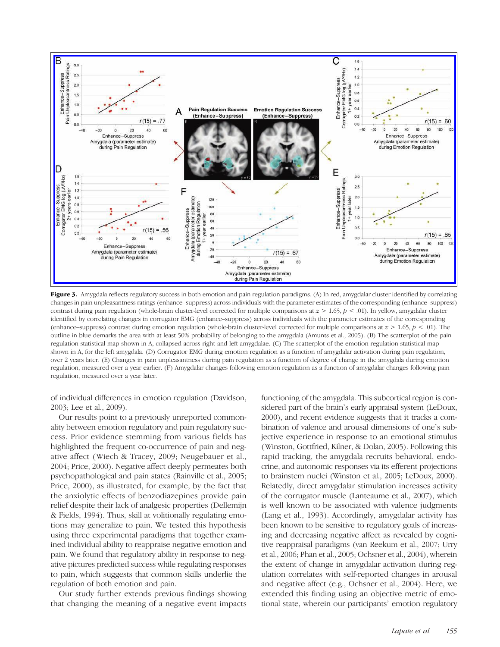

Figure 3. Amygdala reflects regulatory success in both emotion and pain regulation paradigms. (A) In red, amygdalar cluster identified by correlating changes in pain unpleasantness ratings (enhance–suppress) across individuals with the parameter estimates of the corresponding (enhance–suppress) contrast during pain regulation (whole-brain cluster-level corrected for multiple comparisons at  $z > 1.65$ ,  $p < .01$ ). In yellow, amygdalar cluster identified by correlating changes in corrugator EMG (enhance–suppress) across individuals with the parameter estimates of the corresponding (enhance–suppress) contrast during emotion regulation (whole-brain cluster-level corrected for multiple comparisons at  $z > 1.65$ ,  $p < .01$ ). The outline in blue demarks the area with at least 50% probability of belonging to the amygdala (Amunts et al., 2005). (B) The scatterplot of the pain regulation statistical map shown in A, collapsed across right and left amygdalae. (C) The scatterplot of the emotion regulation statistical map shown in A, for the left amygdala. (D) Corrugator EMG during emotion regulation as a function of amygdalar activation during pain regulation, over 2 years later. (E) Changes in pain unpleasantness during pain regulation as a function of degree of change in the amygdala during emotion regulation, measured over a year earlier. (F) Amygdalar changes following emotion regulation as a function of amygdalar changes following pain regulation, measured over a year later.

of individual differences in emotion regulation (Davidson, 2003; Lee et al., 2009).

Our results point to a previously unreported commonality between emotion regulatory and pain regulatory success. Prior evidence stemming from various fields has highlighted the frequent co-occurrence of pain and negative affect (Wiech & Tracey, 2009; Neugebauer et al., 2004; Price, 2000). Negative affect deeply permeates both psychopathological and pain states (Rainville et al., 2005; Price, 2000), as illustrated, for example, by the fact that the anxiolytic effects of benzodiazepines provide pain relief despite their lack of analgesic properties (Dellemijn & Fields, 1994). Thus, skill at volitionally regulating emotions may generalize to pain. We tested this hypothesis using three experimental paradigms that together examined individual ability to reappraise negative emotion and pain. We found that regulatory ability in response to negative pictures predicted success while regulating responses to pain, which suggests that common skills underlie the regulation of both emotion and pain.

Our study further extends previous findings showing that changing the meaning of a negative event impacts

functioning of the amygdala. This subcortical region is considered part of the brain's early appraisal system (LeDoux, 2000), and recent evidence suggests that it tracks a combination of valence and arousal dimensions of one's subjective experience in response to an emotional stimulus (Winston, Gottfried, Kilner, & Dolan, 2005). Following this rapid tracking, the amygdala recruits behavioral, endocrine, and autonomic responses via its efferent projections to brainstem nuclei (Winston et al., 2005; LeDoux, 2000). Relatedly, direct amygdalar stimulation increases activity of the corrugator muscle (Lanteaume et al., 2007), which is well known to be associated with valence judgments (Lang et al., 1993). Accordingly, amygdalar activity has been known to be sensitive to regulatory goals of increasing and decreasing negative affect as revealed by cognitive reappraisal paradigms (van Reekum et al., 2007; Urry et al., 2006; Phan et al., 2005; Ochsner et al., 2004), wherein the extent of change in amygdalar activation during regulation correlates with self-reported changes in arousal and negative affect (e.g., Ochsner et al., 2004). Here, we extended this finding using an objective metric of emotional state, wherein our participants' emotion regulatory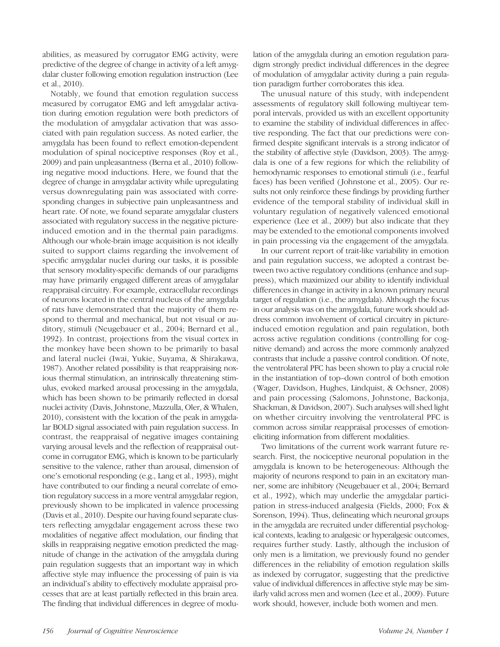abilities, as measured by corrugator EMG activity, were predictive of the degree of change in activity of a left amygdalar cluster following emotion regulation instruction (Lee et al., 2010).

Notably, we found that emotion regulation success measured by corrugator EMG and left amygdalar activation during emotion regulation were both predictors of the modulation of amygdalar activation that was associated with pain regulation success. As noted earlier, the amygdala has been found to reflect emotion-dependent modulation of spinal nociceptive responses (Roy et al., 2009) and pain unpleasantness (Berna et al., 2010) following negative mood inductions. Here, we found that the degree of change in amygdalar activity while upregulating versus downregulating pain was associated with corresponding changes in subjective pain unpleasantness and heart rate. Of note, we found separate amygdalar clusters associated with regulatory success in the negative pictureinduced emotion and in the thermal pain paradigms. Although our whole-brain image acquisition is not ideally suited to support claims regarding the involvement of specific amygdalar nuclei during our tasks, it is possible that sensory modality-specific demands of our paradigms may have primarily engaged different areas of amygdalar reappraisal circuitry. For example, extracellular recordings of neurons located in the central nucleus of the amygdala of rats have demonstrated that the majority of them respond to thermal and mechanical, but not visual or auditory, stimuli (Neugebauer et al., 2004; Bernard et al., 1992). In contrast, projections from the visual cortex in the monkey have been shown to be primarily to basal and lateral nuclei (Iwai, Yukie, Suyama, & Shirakawa, 1987). Another related possibility is that reappraising noxious thermal stimulation, an intrinsically threatening stimulus, evoked marked arousal processing in the amygdala, which has been shown to be primarily reflected in dorsal nuclei activity (Davis, Johnstone, Mazzulla, Oler, & Whalen, 2010), consistent with the location of the peak in amygdalar BOLD signal associated with pain regulation success. In contrast, the reappraisal of negative images containing varying arousal levels and the reflection of reappraisal outcome in corrugator EMG, which is known to be particularly sensitive to the valence, rather than arousal, dimension of one's emotional responding (e.g., Lang et al., 1993), might have contributed to our finding a neural correlate of emotion regulatory success in a more ventral amygdalar region, previously shown to be implicated in valence processing (Davis et al., 2010). Despite our having found separate clusters reflecting amygdalar engagement across these two modalities of negative affect modulation, our finding that skills in reappraising negative emotion predicted the magnitude of change in the activation of the amygdala during pain regulation suggests that an important way in which affective style may influence the processing of pain is via an individual's ability to effectively modulate appraisal processes that are at least partially reflected in this brain area. The finding that individual differences in degree of modulation of the amygdala during an emotion regulation paradigm strongly predict individual differences in the degree of modulation of amygdalar activity during a pain regulation paradigm further corroborates this idea.

The unusual nature of this study, with independent assessments of regulatory skill following multiyear temporal intervals, provided us with an excellent opportunity to examine the stability of individual differences in affective responding. The fact that our predictions were confirmed despite significant intervals is a strong indicator of the stability of affective style (Davidson, 2003). The amygdala is one of a few regions for which the reliability of hemodynamic responses to emotional stimuli (i.e., fearful faces) has been verified ( Johnstone et al., 2005). Our results not only reinforce these findings by providing further evidence of the temporal stability of individual skill in voluntary regulation of negatively valenced emotional experience (Lee et al., 2009) but also indicate that they may be extended to the emotional components involved in pain processing via the engagement of the amygdala.

In our current report of trait-like variability in emotion and pain regulation success, we adopted a contrast between two active regulatory conditions (enhance and suppress), which maximized our ability to identify individual differences in change in activity in a known primary neural target of regulation (i.e., the amygdala). Although the focus in our analysis was on the amygdala, future work should address common involvement of cortical circuitry in pictureinduced emotion regulation and pain regulation, both across active regulation conditions (controlling for cognitive demand) and across the more commonly analyzed contrasts that include a passive control condition. Of note, the ventrolateral PFC has been shown to play a crucial role in the instantiation of top–down control of both emotion (Wager, Davidson, Hughes, Lindquist, & Ochsner, 2008) and pain processing (Salomons, Johnstone, Backonja, Shackman, & Davidson, 2007). Such analyses will shed light on whether circuitry involving the ventrolateral PFC is common across similar reappraisal processes of emotioneliciting information from different modalities.

Two limitations of the current work warrant future research. First, the nociceptive neuronal population in the amygdala is known to be heterogeneous: Although the majority of neurons respond to pain in an excitatory manner, some are inhibitory (Neugebauer et al., 2004; Bernard et al., 1992), which may underlie the amygdalar participation in stress-induced analgesia (Fields, 2000; Fox & Sorenson, 1994). Thus, delineating which neuronal groups in the amygdala are recruited under differential psychological contexts, leading to analgesic or hyperalgesic outcomes, requires further study. Lastly, although the inclusion of only men is a limitation, we previously found no gender differences in the reliability of emotion regulation skills as indexed by corrugator, suggesting that the predictive value of individual differences in affective style may be similarly valid across men and women (Lee et al., 2009). Future work should, however, include both women and men.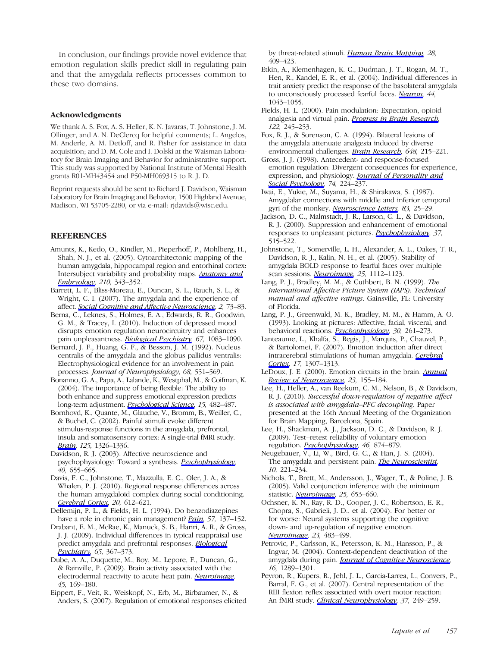In conclusion, our findings provide novel evidence that emotion regulation skills predict skill in regulating pain and that the amygdala reflects processes common to these two domains.

#### Acknowledgments

We thank A. S. Fox, A. S. Heller, K. N. Javaras, T. Johnstone, J. M. Ollinger, and A. N. DeClercq for helpful comments; L. Angelos, M. Anderle, A. M. Detloff, and R. Fisher for assistance in data acquisition; and D. M. Cole and I. Dolski at the Waisman Laboratory for Brain Imaging and Behavior for administrative support. This study was supported by National Institute of Mental Health grants R01-MH43454 and P50-MH069315 to R. J. D.

Reprint requests should be sent to Richard J. Davidson, Waisman Laboratory for Brain Imaging and Behavior, 1500 Highland Avenue, Madison, WI 53705-2280, or via e-mail: rjdavids@wisc.edu.

## REFERENCES

- Amunts, K., Kedo, O., Kindler, M., Pieperhoff, P., Mohlberg, H., Shah, N. J., et al. (2005). Cytoarchitectonic mapping of the human amygdala, hippocampal region and entorhinal cortex: Intersubject variability and probability maps. Anatomy and Embryology, 210, 343–352.
- Barrett, L. F., Bliss-Moreau, E., Duncan, S. L., Rauch, S. L., & Wright, C. I. (2007). The amygdala and the experience of affect. Social Cognitive and Affective Neuroscience, 2, 73-83.
- Berna, C., Leknes, S., Holmes, E. A., Edwards, R. R., Goodwin, G. M., & Tracey, I. (2010). Induction of depressed mood disrupts emotion regulation neurocircuitry and enhances pain unpleasantness. Biological Psychiatry, 67, 1083-1090.
- Bernard, J. F., Huang, G. F., & Besson, J. M. (1992). Nucleus centralis of the amygdala and the globus pallidus ventralis: Electrophysiological evidence for an involvement in pain processes. Journal of Neurophysiology, 68, 551–569.
- Bonanno, G. A., Papa, A., Lalande, K., Westphal, M., & Coifman, K. (2004). The importance of being flexible: The ability to both enhance and suppress emotional expression predicts long-term adjustment. *Psychological Science*, 15, 482-487.
- Bornhovd, K., Quante, M., Glauche, V., Bromm, B., Weiller, C., & Buchel, C. (2002). Painful stimuli evoke different stimulus-response functions in the amygdala, prefrontal, insula and somatosensory cortex: A single-trial fMRI study. Brain, 125, 1326–1336.
- Davidson, R. J. (2003). Affective neuroscience and psychophysiology: Toward a synthesis. Psychophysiology, 40, 655–665.
- Davis, F. C., Johnstone, T., Mazzulla, E. C., Oler, J. A., & Whalen, P. J. (2010). Regional response differences across the human amygdaloid complex during social conditioning. Cerebral Cortex, 20, 612-621.
- Dellemijn, P. L., & Fields, H. L. (1994). Do benzodiazepines have a role in chronic pain management? *Pain*, 57, 137–152.
- Drabant, E. M., McRae, K., Manuck, S. B., Hariri, A. R., & Gross, J. J. (2009). Individual differences in typical reappraisal use predict amygdala and prefrontal responses. **Biological** Psychiatry, 65, 367–373.
- Dube, A. A., Duquette, M., Roy, M., Lepore, F., Duncan, G., & Rainville, P. (2009). Brain activity associated with the electrodermal reactivity to acute heat pain. Neuroimage, 45, 169–180.
- Eippert, F., Veit, R., Weiskopf, N., Erb, M., Birbaumer, N., & Anders, S. (2007). Regulation of emotional responses elicited

by threat-related stimuli. Human Brain Mapping, 28, 409–423.

- Etkin, A., Klemenhagen, K. C., Dudman, J. T., Rogan, M. T., Hen, R., Kandel, E. R., et al. (2004). Individual differences in trait anxiety predict the response of the basolateral amygdala to unconsciously processed fearful faces. *Neuron*, 44, 1043–1055.
- Fields, H. L. (2000). Pain modulation: Expectation, opioid analgesia and virtual pain. Progress in Brain Research, 122, 245–253.
- Fox, R. J., & Sorenson, C. A. (1994). Bilateral lesions of the amygdala attenuate analgesia induced by diverse environmental challenges. Brain Research, 648, 215-221.
- Gross, J. J. (1998). Antecedent- and response-focused emotion regulation: Divergent consequences for experience, expression, and physiology. Journal of Personality and Social Psychology, 74, 224-237.
- Iwai, E., Yukie, M., Suyama, H., & Shirakawa, S. (1987). Amygdalar connections with middle and inferior temporal gyri of the monkey. *Neuroscience Letters*, 83, 25–29.
- Jackson, D. C., Malmstadt, J. R., Larson, C. L., & Davidson, R. J. (2000). Suppression and enhancement of emotional responses to unpleasant pictures. *Psychophysiology*, 37, 515–522.
- Johnstone, T., Somerville, L. H., Alexander, A. L., Oakes, T. R., Davidson, R. J., Kalin, N. H., et al. (2005). Stability of amygdala BOLD response to fearful faces over multiple scan sessions. Neuroimage, 25, 1112-1123.
- Lang, P. J., Bradley, M. M., & Cuthbert, B. N. (1999). The International Affective Picture System (IAPS): Technical manual and affective ratings. Gainsville, FL: University of Florida.
- Lang, P. J., Greenwald, M. K., Bradley, M. M., & Hamm, A. O. (1993). Looking at pictures: Affective, facial, visceral, and behavioral reactions. *Psychophysiology*, 30, 261-273.
- Lanteaume, L., Khalfa, S., Regis, J., Marquis, P., Chauvel, P., & Bartolomei, F. (2007). Emotion induction after direct intracerebral stimulations of human amygdala. Cerebral Cortex, 17, 1307-1313.
- LeDoux, J. E. (2000). Emotion circuits in the brain. Annual Review of Neuroscience, 23, 155-184.
- Lee, H., Heller, A., van Reekum, C. M., Nelson, B., & Davidson, R. J. (2010). Successful down-regulation of negative affect is associated with amygdala–PFC decoupling. Paper presented at the 16th Annual Meeting of the Organization for Brain Mapping, Barcelona, Spain.
- Lee, H., Shackman, A. J., Jackson, D. C., & Davidson, R. J. (2009). Test–retest reliability of voluntary emotion regulation. *Psychophysiology*, 46, 874-879.
- Neugebauer, V., Li, W., Bird, G. C., & Han, J. S. (2004). The amygdala and persistent pain. The Neuroscientist, 10, 221–234.
- Nichols, T., Brett, M., Andersson, J., Wager, T., & Poline, J. B. (2005). Valid conjunction inference with the minimum statistic. *Neuroimage*, 25, 653-660.
- Ochsner, K. N., Ray, R. D., Cooper, J. C., Robertson, E. R., Chopra, S., Gabrieli, J. D., et al. (2004). For better or for worse: Neural systems supporting the cognitive down- and up-regulation of negative emotion. Neuroimage, 23, 483-499.
- Petrovic, P., Carlsson, K., Petersson, K. M., Hansson, P., & Ingvar, M. (2004). Context-dependent deactivation of the amygdala during pain. *Journal of Cognitive Neuroscience*, 16, 1289–1301.
- Peyron, R., Kupers, R., Jehl, J. L., Garcia-Larrea, L., Convers, P., Barral, F. G., et al. (2007). Central representation of the RIII flexion reflex associated with overt motor reaction: An fMRI study. *Clinical Neurophysiology*, 37, 249-259.